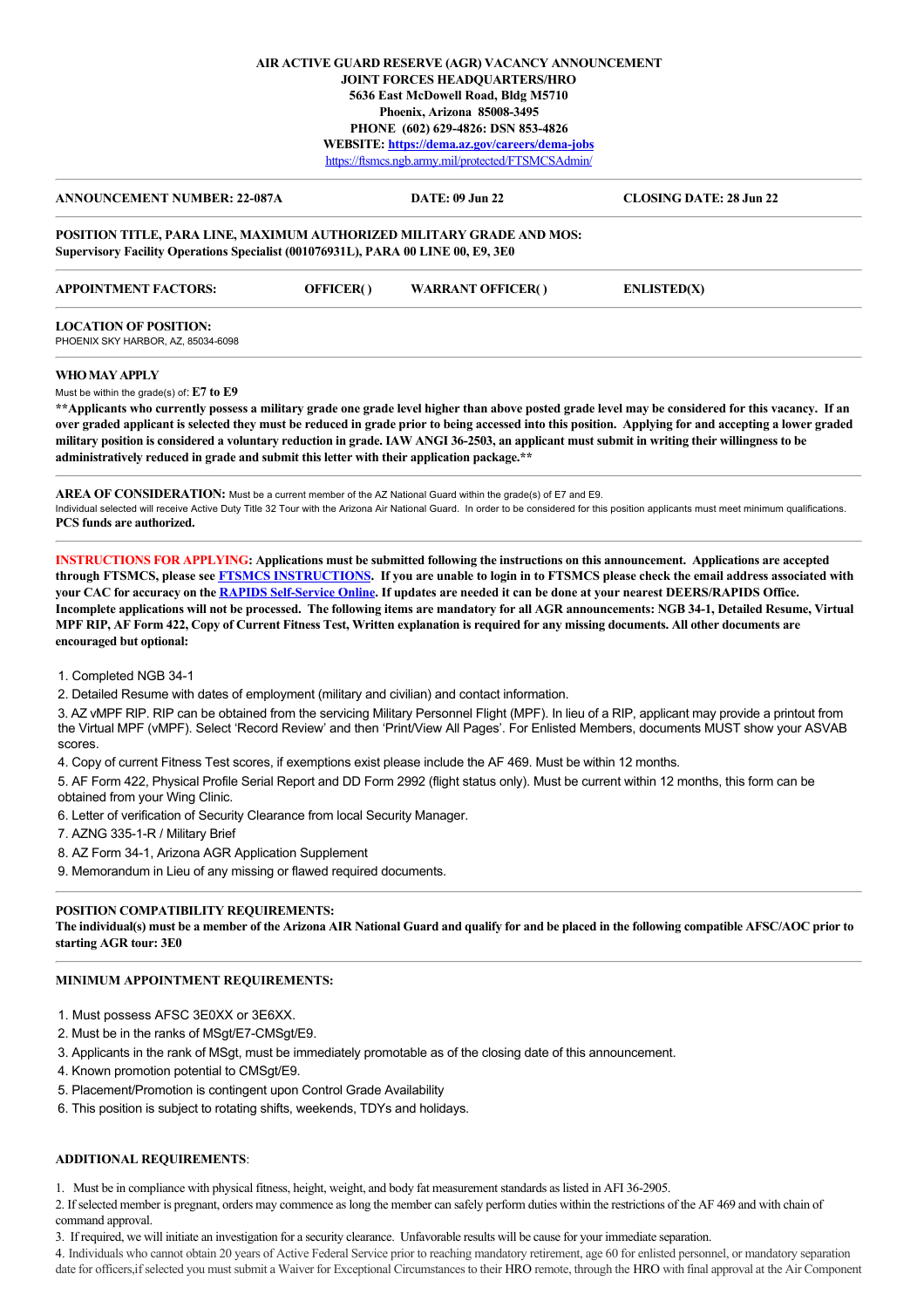## **AIR ACTIVE GUARD RESERVE (AGR) VACANCY ANNOUNCEMENT JOINT FORCES HEADQUARTERS/HRO 5636 East McDowell Road, Bldg M5710 Phoenix, Arizona 85008-3495 PHONE (602) 629-4826: DSN 853-4826 WEBSITE: <https://dema.az.gov/careers/dema-jobs>** <https://ftsmcs.ngb.army.mil/protected/FTSMCSAdmin/>

**ANNOUNCEMENT NUMBER: 22-087A DATE: 09 Jun 22 CLOSING DATE: 28 Jun 22 POSITION TITLE, PARA LINE, MAXIMUM AUTHORIZED MILITARY GRADE AND MOS: Supervisory Facility Operations Specialist (001076931L), PARA 00 LINE 00, E9, 3E0 APPOINTMENT FACTORS: OFFICER( ) WARRANT OFFICER( ) ENLISTED(X) LOCATION OF POSITION:**  PHOENIX SKY HARBOR, AZ, 85034-6098 **WHO MAY APPLY** Must be within the grade(s) of: **E7 to E9 \*\*Applicants who currently possess a military grade one grade level higher than above posted grade level may be considered for this vacancy. If an**

**over graded applicant is selected they must be reduced in grade prior to being accessed into this position. Applying for and accepting a lower graded military position is considered a voluntary reduction in grade. IAW ANGI 36-2503, an applicant must submit in writing their willingness to be administratively reduced in grade and submit this letter with their application package.\*\***

**AREA OF CONSIDERATION:** Must be a current member of the AZ National Guard within the grade(s) of E7 and E9. Individual selected will receive Active Duty Title 32 Tour with the Arizona Air National Guard. In order to be considered for this position applicants must meet minimum qualifications. **PCS funds are authorized.**

**INSTRUCTIONS FOR APPLYING: Applications must be submitted following the instructions on this announcement. Applications are accepted through FTSMCS, please see [FTSMCS INSTRUCTIONS.](https://dema.az.gov/sites/default/files/HRO%20Important%20Documents/FTSMCS%20Application%20instructions.pdf) If you are unable to login in to FTSMCS please check the email address associated with your CAC for accuracy on the [RAPIDS Self-Service Online.](https://pki.dmdc.osd.mil/self_service/rapids/unauthenticated?execution=e1s1) If updates are needed it can be done at your nearest DEERS/RAPIDS Office. Incomplete applications will not be processed. The following items are mandatory for all AGR announcements: NGB 34-1, Detailed Resume, Virtual MPF RIP, AF Form 422, Copy of Current Fitness Test, Written explanation is required for any missing documents. All other documents are encouraged but optional:**

1. Completed NGB 34-1

2. Detailed Resume with dates of employment (military and civilian) and contact information.

3. AZ vMPF RIP. RIP can be obtained from the servicing Military Personnel Flight (MPF). In lieu of a RIP, applicant may provide a printout from the Virtual MPF (vMPF). Select 'Record Review' and then 'Print/View All Pages'. For Enlisted Members, documents MUST show your ASVAB scores.

4. Copy of current Fitness Test scores, if exemptions exist please include the AF 469. Must be within 12 months.

5. AF Form 422, Physical Profile Serial Report and DD Form 2992 (flight status only). Must be current within 12 months, this form can be obtained from your Wing Clinic.

6. Letter of verification of Security Clearance from local Security Manager.

7. AZNG 335-1-R / Military Brief

8. AZ Form 34-1, Arizona AGR Application Supplement

9. Memorandum in Lieu of any missing or flawed required documents.

# **POSITION COMPATIBILITY REQUIREMENTS:**

**The individual(s) must be a member of the Arizona AIR National Guard and qualify for and be placed in the following compatible AFSC/AOC prior to starting AGR tour: 3E0**

## **MINIMUM APPOINTMENT REQUIREMENTS:**

- 1. Must possess AFSC 3E0XX or 3E6XX.
- 2. Must be in the ranks of MSgt/E7-CMSgt/E9.
- 3. Applicants in the rank of MSgt, must be immediately promotable as of the closing date of this announcement.
- 4. Known promotion potential to CMSgt/E9.
- 5. Placement/Promotion is contingent upon Control Grade Availability
- 6. This position is subject to rotating shifts, weekends, TDYs and holidays.

#### **ADDITIONAL REQUIREMENTS**:

1. Must be in compliance with physical fitness, height, weight, and body fat measurement standards as listed in AFI 36-2905.

2. If selected member is pregnant, orders may commence as long the member can safely perform duties within the restrictions of the AF 469 and with chain of command approval.

3. If required, we will initiate an investigation for a security clearance. Unfavorable results will be cause for your immediate separation.

4. Individuals who cannot obtain 20 years of Active Federal Service prior to reaching mandatory retirement, age 60 for enlisted personnel, or mandatory separation date for officers,if selected you must submit a Waiver for Exceptional Circumstances to their HRO remote, through the HRO with final approval at the Air Component